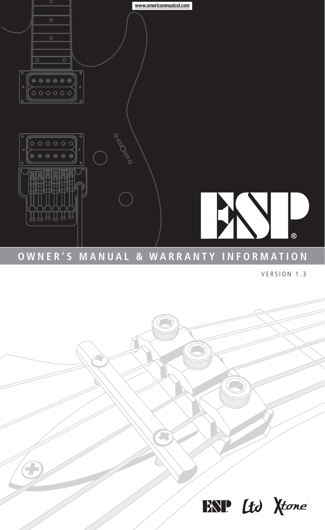

# **OWNER'S MANUAL & WARRANTY INFORMATION**

VERSION 1.3

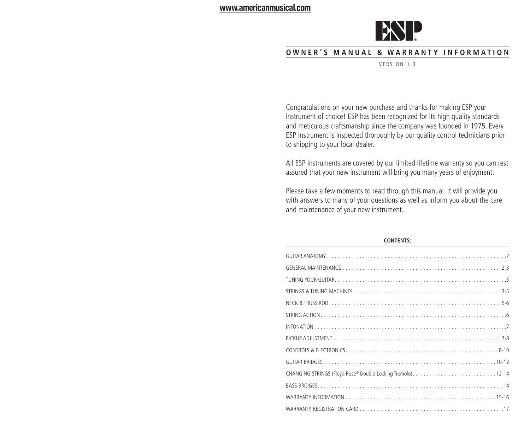

# **O W NER ' S M A N U A L & W A R RAN T Y I N F O R M A T I O N**

VERSION 1.3

Congratulations on your new purchase and thanks for making ESP your instrument of choice! ESP has been recognized for its high quality standards and meticulous craftsmanship since the company was founded in 1975. Every ESP instrument is inspected thoroughly by our quality control technicians prior to shipping to your local dealer.

All ESP instruments are covered by our limited lifetime warranty so you can rest assured that your new instrument will bring you many years of enjoyment.

Please take a few moments to read through this manual. It will provide you with answers to many of your questions as well as inform you about the care and maintenance of your new instrument.

### **CONTENTS:**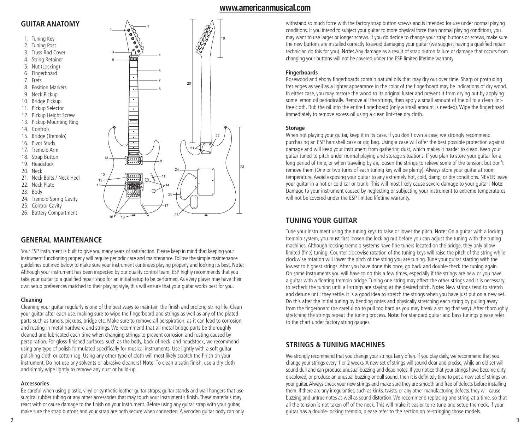# **GUITAR ANATOMY**

- 1. Tuning Key
- 2. Tuning Post
- 3. Truss Rod Cover
- 4. String Retainer
- 5. Nut (Locking)
- 6. Fingerboard
- 7. Frets
- 
- 9. Neck Pickup
- 
- 11. Pickup Selector
- 
- 
- 
- 14. Controls
- 15. Bridge (Tremolo)
- 16. Pivot Studs
- 17. Tremolo Arm
- 18. Strap Button
- 19. Headstock
- 20. Neck
- 21. Neck Bolts / Neck Heel
- 22. Neck Plate
- 23. Body
- 
- 25. Control Cavity
- 
- 26. Battery Compartment

## **GENERAL MAINTENANCE**

Your ESP instrument is built to give you many years of satisfaction. Please keep in mind that keeping your instrument functioning properly will require periodic care and maintenance. Follow the simple maintenance guidelines outlined below to make sure your instrument continues playing properly and looking its best. Note: Although your instrument has been inspected by our quality control team, ESP highly recommends that you take your guitar to a qualified repair shop for an initial setup to be performed. As every player may have their own setup preferences matched to their playing style, this will ensure that your guitar works best for you.

## **Cleaning**

Cleaning your guitar regularly is one of the best ways to maintain the finish and prolong string life. Clean your guitar after each use, making sure to wipe the fingerboard and strings as well as any of the plated parts such as tuners, pickups, bridge etc. Make sure to remove all perspiration, as it can lead to corrosion and rusting in metal hardware and strings. We recommend that all metal bridge parts be thoroughly cleaned and lubricated each time when changing strings to prevent corrosion and rusting caused by perspiration. For gloss-finished surfaces, such as the body, back of neck, and headstock, we recommend using any type of polish formulated specifically for musical instruments. Use lightly with a soft guitar polishing cloth or cotton rag. Using any other type of cloth will most likely scratch the finish on your instrument. Do not use any solvents or abrasive cleaners! Note: To clean a satin finish, use a dry cloth and simply wipe lightly to remove any dust or build-up.

## **Accessories**

Be careful when using plastic, vinyl or synthetic leather guitar straps; guitar stands and wall hangers that use surgical rubber tubing or any other accessories that may touch your instrument's finish. These materials may react with or cause damage to the finish on your Instrument. Before using any guitar strap with your guitar, make sure the strap buttons and your strap are both secure when connected. A wooden guitar body can only withstand so much force with the factory strap button screws and is intended for use under normal playing conditions. If you intend to subject your guitar to more physical force than normal playing conditions, you may want to use larger or longer screws. If you do decide to change your strap buttons or screws, make sure the new buttons are installed correctly to avoid damaging your guitar (we suggest having a qualified repair technician do this for you). Note: Any damage as a result of strap button failure or damage that occurs from changing your buttons will not be covered under the ESP limited lifetime warranty.

## **Fingerboards**

Rosewood and ebony fingerboards contain natural oils that may dry out over time. Sharp or protruding fret edges as well as a lighter appearance in the color of the fingerboard may be indications of dry wood. In either case, you may restore the wood to its original luster and prevent It from drying out by applying some lemon oil periodically. Remove all the strings, then apply a small amount of the oil to a clean lintfree cloth. Rub the oil into the entire fingerboard (only a small amount is needed). Wipe the fingerboard immediately to remove excess oil using a clean lint-free dry cloth.

### **Storage**

When not playing your quitar, keep it in its case. If you don't own a case, we strongly recommend purchasing an ESP hardshell case or gig bag. Using a case will offer the best possible protection against damage and will keep your instrument from gathering dust, which makes it harder to clean. Keep your guitar tuned to pitch under normal playing and storage situations. If you plan to store your guitar for a long period of time, or when traveling by air, loosen the strings to relieve some of the tension, but don't remove them (One or two turns of each tuning key will be plenty). Always store your guitar at room temperature. Avoid exposing your guitar to any extremely hot, cold, damp, or dry conditions. NEVER leave your guitar in a hot or cold car or trunk–This will most likely cause severe damage to your guitar! Note: Damage to your instrument caused by neglecting or subjecting your instrument to extreme temperatures will not be covered under the ESP limited lifetime warranty.

## **TUNING YOUR GUITAR**

Tune your instrument using the tuning keys to raise or lower the pitch. Note: On a guitar with a locking tremolo system, you must first loosen the locking nut before you can adjust the tuning with the tuning machines. Although locking tremolo systems have fine tuners located on the bridge, they only allow limited (fine) tuning. Counter-clockwise rotation of the tuning keys will raise the pitch of the string while clockwise rotation will lower the pitch of the string you are tuning. Tune your guitar starting with the lowest to highest strings. After you have done this once, go back and double-check the tuning again. On some instruments you will have to do this a few times, especially if the strings are new or you have a guitar with a floating tremolo bridge. Tuning one string may affect the other strings and it is necessary to recheck the tuning until all strings are staying at the desired pitch. Note: New strings tend to stretch and detune until they settle. It is a good idea to stretch the strings when you have just put on a new set. Do this after the initial tuning by bending notes and physically stretching each string by pulling away from the fingerboard (be careful no to pull too hard as you may break a string that way). After thoroughly stretching the strings repeat the tuning process. Note: For standard guitar and bass tunings please refer to the chart under factory string gauges.

## **STRINGS & TUNING MACHINES**

We strongly recommend that you change your strings fairly often. If you play daily, we recommend that you change your strings every 1 or 2 weeks. A new set of strings will sound clear and precise, while an old set will sound dull and can produce unusual buzzing and dead notes. If you notice that your strings have become dirty, discolored, or produce an unusual buzzing or dull sound, then it is definitely time to put a new set of strings on your guitar. Always check your new strings and make sure they are smooth and free of defects before installing them. If there are any irregularities, such as kinks, twists, or any other manufacturing defects, they will cause buzzing and untrue notes as well as sound distortion. We recommend replacing one string at a time, so that all the tension is not taken off of the neck. This will make it easier to re-tune and setup the neck. If your guitar has a double-locking tremolo, please refer to the section on re-stringing those models.

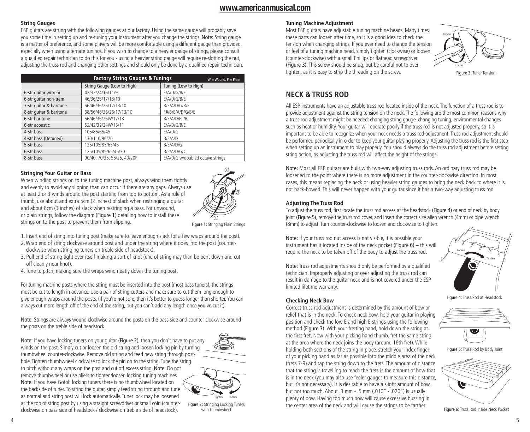## **String Gauges**

ESP guitars are strung with the following gauges at our factory. Using the same gauge will probably save you some time in setting up and re-tuning your instrument after you change the strings. Note: String gauge is a matter of preference, and some players will be more comfortable using a different gauge than provided, especially when using alternate tunings. If you wish to change to a heavier gauge of strings, please consult a qualified repair technician to do this for you - using a heavier string gauge will require re-slotting the nut, adjusting the truss rod and changing other settings and should only be done by a qualified repair technician.

|                         | <b>Factory String Gauges &amp; Tunings</b> | $W = Wound, P = Plain$           |
|-------------------------|--------------------------------------------|----------------------------------|
|                         | String Gauge (Low to High)                 | Tuning (Low to High)             |
| 6-str quitar w/trem     | 42/32/24/16/11/9                           | E/A/D/G/B/E                      |
| 6-str quitar non-trem   | 46/36/26/17/13/10                          | E/A/D/G/B/E                      |
| 7-str quitar & baritone | 56/46/36/26/17/13/10                       | B/E/A/D/G/B/E                    |
| 8-str quitar & baritone | 68/56/46/36/26/17/13/10                    | F#/B/E/A/D/G/B/E                 |
| 6-str baritone          | 56/46/36/26W/17/13                         | B/F/A/D/F#/B                     |
| 6-str acoustic          | 52/42/32/24W/15/11                         | F/A/D/G/B/F                      |
| 4-str bass              | 105/85/65/45                               | F/A/D/G                          |
| 4-str bass (Detuned)    | 130/110/90/70                              | B/F/ A/D                         |
| 5-str bass              | 125/105/85/65/45                           | B/E/A/D/G                        |
| 6-str bass              | 125/105/85/65/45/30                        | B/E/A/D/G/C                      |
| 8-str bass              | 90/40, 70/35, 55/25, 40/20P                | E/A/D/G w/doubled octave strings |

### **Stringing Your Guitar or Bass**

When winding strings on to the tuning machine post, always wind them tightly and evenly to avoid any slipping than can occur if there are any gaps. Always use at least 2 or 3 winds around the post starting from top to bottom. As a rule of thumb, use about and extra 5cm (2 inches) of slack when restringing a guitar and about 8cm (3 inches) of slack when restringing a bass. For unwound, or plain strings, follow the diagram (Figure 1) detailing how to install these strings on to the post to prevent them from slipping.



Figure 1: Stringing Plain Strings

- 1. Insert end of string into tuning post (make sure to leave enough slack for a few wraps around the post).
- 2. Wrap end of string clockwise around post and under the string where it goes into the post (counterclockwise when stringing tuners on treble side of headstock).
- 3. Pull end of string tight over itself making a sort of knot (end of string may then be bent down and cut off cleanly near knot).
- 4. Tune to pitch, making sure the wraps wind neatly down the tuning post.

For tuning machine posts where the string must be inserted into the post (most bass tuners), the strings must be cut to length in advance. Use a pair of string cutters and make sure to cut them long enough to give enough wraps around the posts. (If you're not sure, then it's better to guess longer than shorter. You can always cut more length off of the end of the string, but you can't add any length once you've cut it).

Note: Strings are always wound clockwise around the posts on the bass side and counter-clockwise around the posts on the treble side of headstock.

Note: If you have locking tuners on your guitar (Figure 2), then you don't have to put any winds on the post. Simply cut or loosen the old string and loosen locking pin by turning thumbwheel counter-clockwise. Remove old string and feed new string through posthole. Tighten thumbwheel clockwise to lock the pin on to the string. Tune the string to pitch without any wraps on the post and cut off excess string. Note: Do not remove thumbwheel or use pliers to tighten/loosen locking tuning machines. Note: If you have Gotoh locking tuners there is no thumbwheel located on the backside of tuner. To string the guitar, simply feed string through and tune as normal and string post will lock automatically. Tuner lock may be loosened at the top of string post by using a straight screwdriver or small coin (counterclockwise on bass side of headstock / clockwise on treble side of headstock).



Figure 2: Stringing Locking Tuners with Thumbwheel

## **Tuning Machine Adjustment**

Most ESP guitars have adjustable tuning machine heads. Many times, these parts can loosen after time, so it is a good idea to check the tension when changing strings. If you ever need to change the tension or feel of a tuning machine head, simply tighten (clockwise) or loosen (counter-clockwise) with a small Phillips or flathead screwdriver (Figure 3). This screw should be snug, but be careful not to overtighten, as it is easy to strip the threading on the screw.



Figure 3: Tuner Tension

## **NECK & TRUSS ROD**

All ESP instruments have an adjustable truss rod located inside of the neck. The function of a truss rod is to provide adjustment against the string tension on the neck. The following are the most common reasons why a truss rod adjustment might be needed: changing string gauge, changing tuning, environmental changes such as heat or humidity. Your guitar will operate poorly if the truss rod is not adjusted properly, so it is important to be able to recognize when your neck needs a truss rod adjustment. Truss rod adjustment should be performed periodically in order to keep your guitar playing properly. Adjusting the truss rod is the first step when setting up an instrument to play properly. You should always do the truss rod adjustment before setting string action, as adjusting the truss rod will affect the height of the strings.

Note: Most all ESP guitars are built with two-way adjusting truss rods. An ordinary truss rod may be loosened to the point where there is no more adjustment in the counter-clockwise direction. In most cases, this means replacing the neck or using heavier string gauges to bring the neck back to where it is not back-bowed. This will never happen with your guitar since it has a two-way adjusting truss rod.

#### **Adjusting The Truss Rod**

**Checking Neck Bow**

To adjust the truss rod, first locate the truss rod access at the headstock (Figure 4) or end of neck by body joint (Figure 5), remove the truss rod cover, and insert the correct size allen wrench (4mm) or pipe wrench (8mm) to adjust. Turn counter-clockwise to loosen and clockwise to tighten.

Note: If your truss rod nut access is not visible, it is possible your instrument has it located inside of the neck pocket (Figure 6) – this will require the neck to be taken off of the body to adjust the truss rod.

Note: Truss rod adjustments should only be performed by a qualified technician. Improperly adjusting or over adjusting the truss rod can result in damage to the guitar neck and is not covered under the ESP limited lifetime warranty.

Correct truss rod adjustment is determined by the amount of bow or

position and check the low E and high E strings using the following method (Figure 7). With your fretting hand, hold down the string at the first fret. Now with your picking hand thumb, fret the same string at the area where the neck joins the body (around 16th fret). While holding both sections of the string in place, stretch your index finger of your picking hand as far as possible into the middle area of the neck (frets 7-9) and tap the string down to the frets. The amount of distance that the string is travelling to reach the frets is the amount of bow that is in the neck (you may also use feeler gauges to measure this distance, but it's not necessary). It is desirable to have a slight amount of bow, but not too much. About .3 mm - .5 mm (.010" - .020") is usually plenty of bow. Having too much bow will cause excessive buzzing in the center area of the neck and will cause the strings to be farther



#### Figure 4: Truss Rod at Headstock

relief that is in the neck. To check neck bow, hold your guitar in playing

Figure 5: Truss Rod by Body Joint



Figure 6: Truss Rod Inside Neck Pocket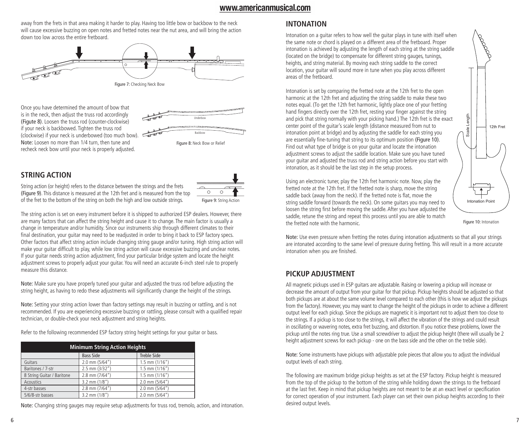away from the frets in that area making it harder to play. Having too little bow or backbow to the neck will cause excessive buzzing on open notes and fretted notes near the nut area, and will bring the action down too low across the entire fretboard.



Once you have determined the amount of bow that is in the neck, then adjust the truss rod accordingly (Figute 8). Loosen the truss rod (counter-clockwise) if your neck is backbowed. Tighten the truss rod (clockwise) if your neck is underbowed (too much bow). Note: Loosen no more than 1/4 turn, then tune and recheck neck bow until your neck is properly adjusted.



## **STRING ACTION**

String action (or height) refers to the distance between the strings and the frets (Figure 9). This distance is measured at the 12th fret and is measured from the top of the fret to the bottom of the string on both the high and low outside strings.



The string action is set on every instrument before it is shipped to authorized ESP dealers. However, there are many factors that can affect the string height and cause it to change. The main factor is usually a change in temperature and/or humidity. Since our instruments ship through different climates to their final destination, your guitar may need to be readjusted in order to bring it back to ESP factory specs. Other factors that affect string action include changing string gauge and/or tuning. High string action will make your guitar difficult to play, while low string action will cause excessive buzzing and unclear notes. If your guitar needs string action adjustment, find your particular bridge system and locate the height adjustment screws to properly adjust your guitar. You will need an accurate 6-inch steel rule to properly measure this distance.

Note: Make sure you have properly tuned your guitar and adjusted the truss rod before adjusting the string height, as having to redo these adjustments will significantly change the height of the strings.

Note: Setting your string action lower than factory settings may result in buzzing or rattling, and is not recommended. If you are experiencing excessive buzzing or rattling, please consult with a qualified repair technician, or double-check your neck adjustment and string heights.

Refer to the following recommended ESP factory string height settings for your guitar or bass.

| <b>Minimum String Action Heights</b> |                   |                    |  |
|--------------------------------------|-------------------|--------------------|--|
|                                      | <b>Bass Side</b>  | <b>Treble Side</b> |  |
| Guitars                              | 2.0 mm (5/64")    | $1.5$ mm $(1/16")$ |  |
| Baritones / 7-str                    | 2.5 mm (3/32")    | $1.5$ mm $(1/16")$ |  |
| 8 String Guitar / Baritone           | 2.8 mm (7/64")    | $1.5$ mm $(1/16")$ |  |
| <b>Acoustics</b>                     | $3.2$ mm $(1/8")$ | 2.0 mm (5/64")     |  |
| 4-str basses                         | 2.8 mm (7/64")    | 2.0 mm (5/64")     |  |
| 5/6/8-str basses                     | $3.2$ mm $(1/8")$ | 2.0 mm (5/64")     |  |

Note: Changing string gauges may require setup adjustments for truss rod, tremolo, action, and intonation.

## **INTONATION**

Intonation on a guitar refers to how well the guitar plays in tune with itself when the same note or chord is played on a different area of the fretboard. Proper intonation is achieved by adjusting the length of each string at the string saddle (located on the bridge) to compensate for different string gauges, tunings, heights, and string material. By moving each string saddle to the correct location, your guitar will sound more in tune when you play across different areas of the fretboard.

Intonation is set by comparing the fretted note at the 12th fret to the open harmonic at the 12th fret and adjusting the string saddle to make these two notes equal. (To get the 12th fret harmonic, lightly place one of your fretting hand fingers directly over the 12th fret, resting your finger against the string and pick that string normally with your picking hand.) The 12th fret is the exact center point of the guitar's scale length (distance measured from nut to intonation point at bridge) and by adjusting the saddle for each string you are essentially fine-tuning that string to its optimum position (Figure 10). Find out what type of bridge is on your guitar and locate the intonation adjustment screws to adjust the saddle location. Make sure you have tuned your guitar and adjusted the truss rod and string action before you start with intonation, as it should be the last step in the setup process.

Using an electronic tuner, play the 12th fret harmonic note. Now, play the fretted note at the 12th fret. If the fretted note is sharp, move the string saddle back (away from the neck). If the fretted note is flat, move the string saddle forward (towards the neck). On some guitars you may need to loosen the string first before moving the saddle. After you have adjusted the saddle, retune the string and repeat this process until you are able to match the fretted note with the harmonic.



Figure 10: Intonation

Note: Use even pressure when fretting the notes during intonation adjustments so that all your strings are intonated according to the same level of pressure during fretting. This will result in a more accurate intonation when you are finished.

## **PICKUP ADJUSTMENT**

All magnetic pickups used in ESP guitars are adjustable. Raising or lowering a pickup will increase or decrease the amount of output from your guitar for that pickup. Pickup heights should be adjusted so that both pickups are at about the same volume level compared to each other (this is how we adjust the pickups from the factory). However, you may want to change the height of the pickups in order to achieve a different output level for each pickup. Since the pickups are magnetic it is important not to adjust them too close to the strings. If a pickup is too close to the strings, it will affect the vibration of the strings and could result in oscillating or wavering notes, extra fret buzzing, and distortion. If you notice these problems, lower the pickup until the notes ring true. Use a small screwdriver to adjust the pickup height (there will usually be 2 height adjustment screws for each pickup - one on the bass side and the other on the treble side).

Note: Some instruments have pickups with adjustable pole pieces that allow you to adjust the individual output levels of each string.

The following are maximum bridge pickup heights as set at the ESP factory. Pickup height is measured from the top of the pickup to the bottom of the string while holding down the strings to the fretboard at the last fret. Keep in mind that pickup heights are not meant to be at an exact level or specification for correct operation of your instrument. Each player can set their own pickup heights according to their desired output levels.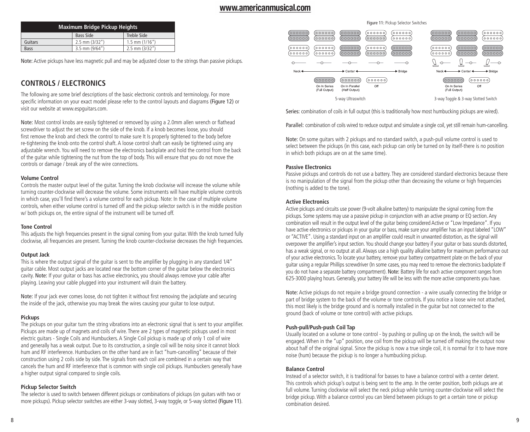|             | <b>Maximum Bridge Pickup Heights</b> |                    |
|-------------|--------------------------------------|--------------------|
|             | <b>Bass Side</b>                     | Treble Side        |
| Guitars     | $2.5$ mm $(3/32")$                   | $1.5$ mm $(1/16")$ |
| <b>Bass</b> | $3.5$ mm $(9/64'')$                  | $2.5$ mm $(3/32")$ |

Note: Active pickups have less magnetic pull and may be adjusted closer to the strings than passive pickups.

## **CONTROLS / ELECTRONICS**

The following are some brief descriptions of the basic electronic controls and terminology. For more specific information on your exact model please refer to the control layouts and diagrams (Figure 12) or visit our website at www.espguitars.com.

Note: Most control knobs are easily tightened or removed by using a 2.0mm allen wrench or flathead screwdriver to adjust the set screw on the side of the knob. If a knob becomes loose, you should first remove the knob and check the control to make sure It Is properly tightened to the body before re-tightening the knob onto the control shaft. A loose control shaft can easily be tightened using any adjustable wrench. You will need to remove the electronics backplate and hold the control from the back of the guitar while tightening the nut from the top of body. This will ensure that you do not move the controls or damage / break any of the wire connections.

### **Volume Control**

Controls the master output level of the guitar. Turning the knob clockwise will increase the volume while turning counter-clockwise will decrease the volume. Some instruments will have multiple volume controls in which case, you'll find there's a volume control for each pickup. Note: In the case of multiple volume controls, when either volume control is turned off and the pickup selector switch is in the middle position w/ both pickups on, the entire signal of the instrument will be turned off.

#### **Tone Control**

This adjusts the high frequencies present in the signal coming from your guitar. With the knob turned fully clockwise, all frequencies are present. Turning the knob counter-clockwise decreases the high frequencies.

### **Output Jack**

This is where the output signal of the guitar is sent to the amplifier by plugging in any standard 1/4" guitar cable. Most output jacks are located near the bottom corner of the guitar below the electronics cavity. Note: If your guitar or bass has active electronics, you should always remove your cable after playing. Leaving your cable plugged into your instrument will drain the battery.

Note: If your jack ever comes loose, do not tighten it without first removing the jackplate and securing the inside of the jack, otherwise you may break the wires causing your guitar to lose output.

### **Pickups**

The pickups on your guitar turn the string vibrations into an electronic signal that is sent to your amplifier. Pickups are made up of magnets and coils of wire. There are 2 types of magnetic pickups used in most electric guitars - Single Coils and Humbuckers. A Single Coil pickup is made up of only 1 coil of wire and generally has a weak output. Due to its construction, a single coil will be noisy since it cannot block hum and RF interference. Humbuckers on the other hand are in fact "hum-cancelling" because of their construction using 2 coils side by side. The signals from each coil are combined in a certain way that cancels the hum and RF interference that is common with single coil pickups. Humbuckers generally have a higher output signal compared to single coils.

### **Pickup Selector Switch**

The selector is used to switch between different pickups or combinations of pickups (on guitars with two or more pickups). Pickup selector switches are either 3-way slotted, 3-way toggle, or 5-way slotted (Figure 11).



Series: combination of coils in full output (this is traditionally how most humbucking pickups are wired).

Parallel: combination of coils wired to reduce output and simulate a single coil, yet still remain hum-cancelling.

Note: On some guitars with 2 pickups and no standard switch, a push-pull volume control is used to select between the pickups (in this case, each pickup can only be turned on by itself-there is no position in which both pickups are on at the same time).

#### **Passive Electronics**

Passive pickups and controls do not use a battery. They are considered standard electronics because there is no manipulation of the signal from the pickup other than decreasing the volume or high frequencies (nothing is added to the tone).

### **Active Electronics**

Active pickups and circuits use power (9-volt alkaline battery) to manipulate the signal coming from the pickups. Some systems may use a passive pickup in conjunction with an active preamp or EQ section. Any combination will result in the output level of the guitar being considered Active or "Low Impedance". If you have active electronics or pickups in your guitar or bass, make sure your amplifier has an input labeled "LOW" or "ACTIVE". Using a standard input on an amplifier could result in unwanted distortion, as the signal will overpower the amplifier's input section. You should change your battery if your guitar or bass sounds distorted, has a weak signal, or no output at all. Always use a high quality alkaline battery for maximum performance out of your active electronics. To locate your battery, remove your battery compartment plate on the back of your guitar using a regular Phillips screwdriver (In some cases, you may need to remove the electronics backplate If you do not have a separate battery compartment). Note: Battery life for each active component ranges from 625-3000 playing hours. Generally, your battery life will be less with the more active components you have.

Note: Active pickups do not require a bridge ground connection - a wire usually connecting the bridge or part of bridge system to the back of the volume or tone controls. If you notice a loose wire not attached, this most likely is the bridge ground and is normally installed in the guitar but not connected to the ground (back of volume or tone control) with active pickups.

### **Push-pull/Push-push Coil Tap**

Usually located on a volume or tone control - by pushing or pulling up on the knob, the switch will be engaged. When in the "up" position, one coil from the pickup will be turned off making the output now about half of the original signal. Since the pickup is now a true single coil, it is normal for it to have more noise (hum) because the pickup is no longer a humbucking pickup.

#### **Balance Control**

Instead of a selector switch, it is traditional for basses to have a balance control with a center detent. This controls which pickup's output is being sent to the amp. In the center position, both pickups are at full volume. Turning clockwise will select the neck pickup while turning counter-clockwise will select the bridge pickup. With a balance control you can blend between pickups to get a certain tone or pickup combination desired.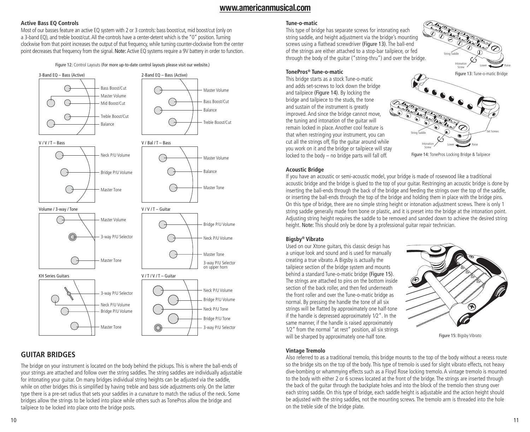## **Active Bass EQ Controls**

Most of our basses feature an active EQ system with 2 or 3 controls: bass boost/cut, mid boost/cut (only on a 3-band EQ), and treble boost/cut. All the controls have a center-detent which is the "0" position. Turning clockwise from that point increases the output of that frequency, while turning counter-clockwise from the center point decreases that frequency from the signal. Note: Active EQ systems require a 9V battery in order to function.

Figure 12: Control Layouts (For more up-to-date control layouts please visit our website.)



## **GUITAR BRIDGES**

The bridge on your instrument is located on the body behind the pickups. This is where the ball-ends of your strings are attached and follow over the string saddles. The string saddles are individually adjustable for intonating your guitar. On many bridges individual string heights can be adjusted via the saddle, while on other bridges this is simplified by having treble and bass side adjustments only. On the latter type there is a pre-set radius that sets your saddles in a curvature to match the radius of the neck. Some bridges allow the strings to be locked into place while others such as TonePros allow the bridge and tailpiece to be locked into place onto the bridge posts.

#### **Tune-o-matic**

This type of bridge has separate screws for intonating each string saddle, and height adjustment via the bridge's mounting screws using a flathead screwdriver (Figure 13). The ball-end of the strings are either attached to a stop-bar tailpiece, or fed through the body of the guitar ("string-thru") and over the bridge.



### **TonePros® Tune-o-matic**

This bridge starts as a stock Tune-o-matic and adds set-screws to lock down the bridge and tailpiece (Figure 14). By locking the bridge and tailpiece to the studs, the tone and sustain of the instrument is greatly improved. And since the bridge cannot move, the tuning and intonation of the guitar will remain locked in place. Another cool feature is that when restringing your instrument, you can cut all the strings off, flip the guitar around while you work on it and the bridge or tailpiece will stay locked to the body – no bridge parts will fall off.



Figure 14: TonePros Locking Bridge & Tailpiece

#### **Acoustic Bridge**

If you have an acoustic or semi-acoustic model, your bridge is made of rosewood like a traditional acoustic bridge and the bridge is glued to the top of your guitar. Restringing an acoustic bridge is done by inserting the ball-ends through the back of the bridge and feeding the strings over the top of the saddle, or inserting the ball-ends through the top of the bridge and holding them in place with the bridge pins. On this type of bridge, there are no simple string height or intonation adjustment screws. There is only 1 string saddle generally made from bone or plastic, and it is preset into the bridge at the intonation point. Adjusting string height requires the saddle to be removed and sanded down to achieve the desired string height. Note: This should only be done by a professional guitar repair technician.

## **Bigsby® Vibrato**

Used on our Xtone guitars, this classic design has a unique look and sound and is used for manually creating a true vibrato. A Bigsby is actually the tailpiece section of the bridge system and mounts behind a standard Tune-o-matic bridge (Figure 15). The strings are attached to pins on the bottom inside section of the back roller, and then fed underneath the front roller and over the Tune-o-matic bridge as normal. By pressing the handle the tone of all six strings will be flatted by approximately one half-tone if the handle is depressed approximately 1⁄2". In the same manner, if the handle is raised approximately 1⁄2" from the normal "at rest" position, all six strings will be sharped by approximately one-half tone.



Figure 15: Bigsby Vibrato

### **Vintage Tremolo**

Also referred to as a traditional tremolo, this bridge mounts to the top of the body without a recess route so the bridge sits on the top of the body. This type of tremolo is used for slight vibrato effects, not heavy dive-bombing or whammying effects such as a Floyd Rose locking tremolo. A vintage tremolo is mounted to the body with either 2 or 6 screws located at the front of the bridge. The strings are inserted through the back of the guitar through the backplate holes and into the block of the tremolo then strung over each string saddle. On this type of bridge, each saddle height is adjustable and the action height should be adjusted with the string saddles, not the mounting screws. The tremolo arm is threaded into the hole on the treble side of the bridge plate.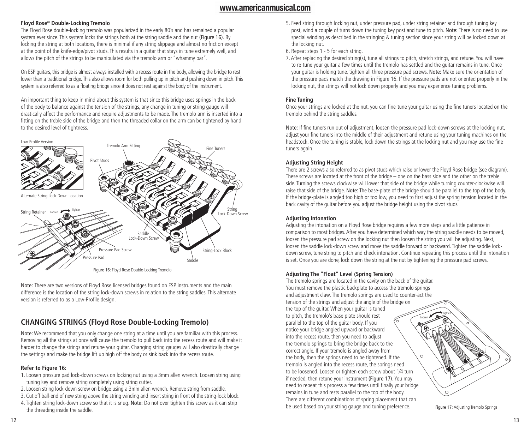## **Floyd Rose® Double-Locking Tremolo**

The Floyd Rose double-locking tremolo was popularized in the early 80's and has remained a popular system ever since. This system locks the strings both at the string saddle and the nut (Figure 16). By locking the string at both locations, there is minimal if any string slippage and almost no friction except at the point of the knife-edge/pivot studs. This results in a guitar that stays in tune extremely well, and allows the pitch of the strings to be manipulated via the tremolo arm or "whammy bar".

On ESP guitars, this bridge is almost always installed with a recess route in the body, allowing the bridge to rest lower than a traditional bridge. This also allows room for both pulling up in pitch and pushing down in pitch. This system is also referred to as a floating bridge since it does not rest against the body of the instrument.

An important thing to keep in mind about this system is that since this bridge uses springs in the back of the body to balance against the tension of the strings, any change in tuning or string gauge will drastically affect the performance and require adjustments to be made. The tremolo arm is inserted into a fitting on the treble side of the bridge and then the threaded collar on the arm can be tightened by hand to the desired level of tightness.



Figure 16: Floyd Rose Double-Locking Tremolo

Note: There are two versions of Floyd Rose licensed bridges found on ESP instruments and the main difference is the location of the string lock-down screws in relation to the string saddles. This alternate version is referred to as a Low-Profile design.

# **CHANGING STRINGS (Floyd Rose Double-Locking Tremolo)**

Note: We recommend that you only change one string at a time until you are familiar with this process. Removing all the strings at once will cause the tremolo to pull back into the recess route and will make it harder to change the strings and retune your guitar. Changing string gauges will also drastically change the settings and make the bridge lift up high off the body or sink back into the recess route.

## **Refer to Figure 16:**

- 1. Loosen pressure pad lock-down screws on locking nut using a 3mm allen wrench. Loosen string using tuning key and remove string completely using string cutter.
- 2. Loosen string lock-down screw on bridge using a 3mm allen wrench. Remove string from saddle.
- 3. Cut off ball-end of new string above the string winding and insert string in front of the string-lock block.
- 4. Tighten string lock-down screw so that it is snug. Note: Do not over tighten this screw as it can strip the threading inside the saddle.
- 5. Feed string through locking nut, under pressure pad, under string retainer and through tuning key post, wind a couple of turns down the tuning key post and tune to pitch. Note: There is no need to use special winding as described in the stringing & tuning section since your string will be locked down at the locking nut.
- 6. Repeat steps 1 5 for each string.
- 7. After replacing the desired string(s), tune all strings to pitch, stretch strings, and retune. You will have to re-tune your guitar a few times until the tremolo has settled and the guitar remains in tune. Once your guitar is holding tune, tighten all three pressure pad screws. Note: Make sure the orientation of the pressure pads match the drawing in Figure 16. If the pressure pads are not oriented properly in the locking nut, the strings will not lock down properly and you may experience tuning problems.

## **Fine Tuning**

Once your strings are locked at the nut, you can fine-tune your guitar using the fine tuners located on the tremolo behind the string saddles.

Note: If fine tuners run out of adjustment, loosen the pressure pad lock-down screws at the locking nut, adjust your fine tuners into the middle of their adjustment and retune using your tuning machines on the headstock. Once the tuning is stable, lock down the strings at the locking nut and you may use the fine tuners again.

## **Adjusting String Height**

There are 2 screws also referred to as pivot studs which raise or lower the Floyd Rose bridge (see diagram). These screws are located at the front of the bridge – one on the bass side and the other on the treble side. Turning the screws clockwise will lower that side of the bridge while turning counter-clockwise will raise that side of the bridge. Note: The base-plate of the bridge should be parallel to the top of the body. If the bridge-plate is angled too high or too low, you need to first adjust the spring tension located in the back cavity of the guitar before you adjust the bridge height using the pivot studs.

## **Adjusting Intonation**

Adjusting the intonation on a Floyd Rose bridge requires a few more steps and a little patience in comparison to most bridges. After you have determined which way the string saddle needs to be moved, loosen the pressure pad screw on the locking nut then loosen the string you will be adjusting. Next, loosen the saddle lock-down screw and move the saddle forward or backward. Tighten the saddle lockdown screw, tune string to pitch and check intonation. Continue repeating this process until the intonation is set. Once you are done, lock down the string at the nut by tightening the pressure pad screws.

## **Adjusting The "Float" Level (Spring Tension)**

The tremolo springs are located in the cavity on the back of the guitar. You must remove the plastic backplate to access the tremolo springs and adjustment claw. The tremolo springs are used to counter-act the tension of the strings and adjust the angle of the bridge on the top of the guitar. When your guitar is tuned to pitch, the tremolo's base plate should rest Loosen parallel to the top of the guitar body. If you notice your bridge angled upward or backward into the recess route, then you need to adjust the tremolo springs to bring the bridge back to the correct angle. If your tremolo is angled away from  $\circ$ the body, then the springs need to be tightened. If the tremolo is angled into the recess route, the springs need to be loosened. Loosen or tighten each screw about 1⁄4 turn if needed, then retune your instrument (Figure 17). You may need to repeat this process a few times until finally your bridge remains in tune and rests parallel to the top of the body. There are different combinations of spring placement that can be used based on your string gauge and tuning preference.

**Tighten** 

Figure 17: Adjusting Tremolo Springs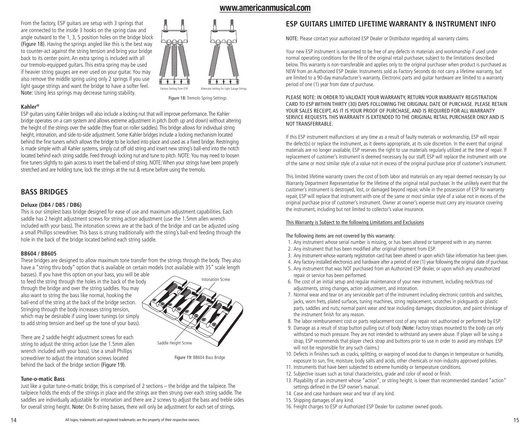From the factory, ESP guitars are setup with 3 springs that are connected to the inside 3 hooks on the spring claw and angle outward to the 1, 3, 5 position holes on the bridge block (Figure 18). Having the springs angled like this is the best way to counter-act against the string tension and bring your bridge back to its center point. An extra spring is included with all our tremolo-equipped guitars. This extra spring may be used if heavier string gauges are ever used on your guitar. You may also remove the middle spring using only 2 springs if you use light gauge strings and want the bridge to have a softer feel. Note: Using less springs may decrease tuning stability.



**Kahler®**

ESP guitars using Kahler bridges will also include a locking nut that will improve performance. The Kahler bridge operates on a cam system and allows extreme adjustment in pitch (both up and down) without altering the height of the strings over the saddle (they float on roller saddles). This bridge allows for individual string height, intonation, and side-to-side adjustment. Some Kahler bridges include a locking mechanism located behind the fine tuners which allows the bridge to be locked into place and used as a fixed bridge. Restringing is made simple with all Kahler systems, simply cut off old string and insert new string's ball-end into the notch located behind each string saddle. Feed through locking nut and tune to pitch. NOTE: You may need to loosen fine tuners slightly to gain access to insert the ball-end of string. NOTE: When your strings have been properly stretched and are holding tune, lock the strings at the nut & retune before using the tremolo.

## **BASS BRIDGES**

### **Deluxe (DB4 / DB5 / DB6)**

This is our simplest bass bridge designed for ease of use and maximum adjustment capabilities. Each saddle has 2 height adjustment screws for string action adjustment (use the 1.5mm allen wrench included with your bass). The intonation screws are at the back of the bridge and can be adjusted using a small Phillips screwdriver. This bass is strung traditionally with the string's ball-end feeding through the hole in the back of the bridge located behind each string saddle.

#### **BB604 / BB605**

These bridges are designed to allow maximum tone transfer from the strings through the body. They also have a "string thru body" option that is available on certain models (not available with 35" scale length

basses). If you have this option on your bass, you will be able to feed the string through the holes in the back of the body through the bridge and over the string saddles. You may also want to string the bass like normal, hooking the ball-end of the string at the back of the bridge section. Stringing through the body increases string tension, which may be desirable if using lower tunings (or simply to add string tension and beef up the tone of your bass).



There are 2 saddle height adjustment screws for each string to adjust the string action (use the 1.5mm allen wrench included with your bass). Use a small Phillips screwdriver to adjust the intonation screws located behind the back of the bridge section (Figure 19).

Figure 19: BB604 Bass Bridge

#### **Tune-o-matic Bass**

Just like a guitar tune-o-matic bridge, this is comprised of 2 sections – the bridge and the tailpiece. The tailpiece holds the ends of the strings in place and the strings are then strung over each string saddle. The saddles are individually adjustable for intonation and there are 2 screws to adjust the bass and treble sides for overall string height. Note: On 8-string basses, there will only be adjustment for each set of strings.

## **ESP GUITARS LIMITED LIFETIME WARRANTY & INSTRUMENT INFO**

NOTE: Please contact your authorized ESP Dealer or Distributor regarding all warranty claims.

Your new ESP instrument is warranted to be free of any defects in materials and workmanship if used under normal operating conditions for the life of the original retail purchaser, subject to the limitations described below. This warranty is non-transferable and applies only to the original purchaser when product is purchased as NEW from an Authorized ESP Dealer. Instruments sold as Factory Seconds do not carry a lifetime warranty, but are limited to a 90-day manufacturer's warranty. Electronic parts and guitar hardware are limited to a warranty period of one (1) year from date of purchase.

#### PLEASE NOTE: IN ORDER TO VALIDATE YOUR WARRANTY, RETURN YOUR WARRANTY REGISTRATION CARD TO ESP WITHIN THIRTY (30) DAYS FOLLOWING THE ORIGINAL DATE OF PURCHASE. PLEASE RETAIN YOUR SALES RECEIPT, AS IT IS YOUR PROOF OF PURCHASE, AND IS REQUIRED FOR ALL WARRANTY SERVICE REQUESTS. THIS WARRANTY IS EXTENDED TO THE ORIGINAL RETAIL PURCHASER ONLY AND IS NOT TRANSFERRABLE.

If this ESP instrument malfunctions at any time as a result of faulty materials or workmanship, ESP will repair the defect(s) or replace the instrument, as it deems appropriate, at its sole discretion. In the event that original materials are no longer available, ESP reserves the right to use materials regularly utilized at the time of repair. If replacement of customer's instrument is deemed necessary by our staff, ESP will replace the instrument with one of the same or most similar style of a value not in excess of the original purchase price of customer's instrument.

This limited lifetime warranty covers the cost of both labor and materials on any repair deemed necessary by our Warranty Department Representative for the lifetime of the original retail purchaser. In the unlikely event that the customer's instrument is destroyed, lost, or damaged beyond repair, while in the possession of ESP for warranty repair, ESP will replace that instrument with one of the same or most similar style of a value not in excess of the original purchase price of customer's instrument. Owner at owner's expense must carry any insurance covering the instrument, including but not limited to collector's value insurance.

#### This Warranty is Subject to the following Limitations and Exclusions

#### The following items are not covered by this warranty:

- 1. Any instrument whose serial number is missing, or has been altered or tampered with in any manner.
- 2. Any instrument that has been modified after original shipment from ESP.
- 3. Any instrument whose warranty registration card has been altered or upon which false information has been given.
- 4. Any factory-installed electronics and hardware after a period of one (1) year following the original date of purchase.
- 5. Any instrument that was NOT purchased from an Authorized ESP dealer, or upon which any unauthorized repair or service has been performed.
- 6. The cost of an initial setup and regular maintenance of your new instrument, including neck/truss rod adjustments, string changes, action adjustment, and intonation.
- 7. Normal wear and tear on any serviceable part of the instrument including electronic controls and switches, jacks, worn frets, plated surfaces, tuning machines, string replacement, scratches in pickguards or plastic parts, saddles and nuts; normal paint wear and tear including damages, discoloration, and paint shrinkage of the instrument finish for any reason.
- 8. The labor reimbursement cost or parts replacement cost of any repair not authorized or performed by ESP.
- 9. Damage as a result of strap button pulling out of body (Note: Factory straps mounted to the body can only withstand so much pressure. They are not intended to withstand any severe abuse. If player will be using a strap, ESP recommends that player check strap and buttons prior to use in order to avoid any mishaps. ESP will not be responsible for any such claims.)
- 10. Defects in finishes such as cracks, splitting, or warping of wood due to changes in temperature or humidity, exposure to sun, fire, moisture, body salts and acids, other chemicals or non-industry approved polishes.
- 11. Instruments that have been subjected to extreme humidity or temperature conditions.
- 12. Subjective issues such as tonal characteristics, grade and color of wood or finish.
- 13. Playability of an instrument whose "action", or string height, is lower than recommended standard "action" settings defined in the ESP owner's manual.
- 14. Case and case hardware wear and tear of any kind.
- 15. Shipping damages of any kind.
- 16. Freight charges to ESP or Authorized ESP Dealer for customer owned goods.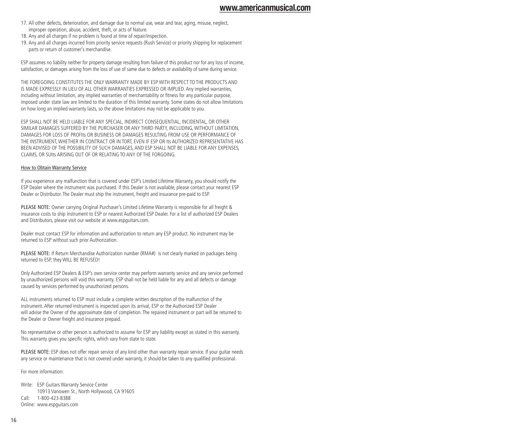- 17. All other defects, deterioration, and damage due to normal use, wear and tear, aging, misuse, neglect, improper operation, abuse, accident, theft, or acts of Nature.
- 18. Any and all charges if no problem is found at time of repair/inspection.
- 19. Any and all charges incurred from priority service requests (Rush Service) or priority shipping for replacement parts or return of customer's merchandise.

ESP assumes no liability neither for property damage resulting from failure of this product nor for any loss of income, satisfaction, or damages arising from the loss of use of same due to defects or availability of same during service.

THE FOREGOING CONSTITUTES THE ONLY WARRANTY MADE BY ESP WITH RESPECT TO THE PRODUCTS AND IS MADE EXPRESSLY IN LIEU OF ALL OTHER WARRANTIES EXPRESSED OR IMPLIED. Any implied warranties, including without limitation, any implied warranties of merchantability or fitness for any particular purpose, imposed under state law are limited to the duration of this limited warranty. Some states do not allow limitations on how long an implied warranty lasts, so the above limitations may not be applicable to you.

ESP SHALL NOT BE HELD LIABLE FOR ANY SPECIAL, INDIRECT CONSEQUENTIAL, INCIDENTAL, OR OTHER SIMILAR DAMAGES SUFFERED BY THE PURCHASER OR ANY THIRD PARTY, INCLUDING, WITHOUT LIMITATION, DAMAGES FOR LOSS OF PROFIts OR BUSINESS OR DAMAGES RESULTING FROM USE OR PERFORMANCE OF THE INSTRUMENT, WHETHER IN CONTRACT OR IN TORT, EVEN IF ESP OR Its AUTHORIZED REPRESENTATIVE HAS BEEN ADVISED OF THE POSSIBILITY OF SUCH DAMAGES, AND ESP SHALL NOT BE LIABLE FOR ANY EXPENSES, CLAIMS, OR SUIts ARISING OUT OF OR RELATING TO ANY OF THE FORGOING.

#### How to Obtain Warranty Service

If you experience any malfunction that is covered under ESP's Limited Lifetime Warranty, you should notify the ESP Dealer where the instrument was purchased. If this Dealer is not available, please contact your nearest ESP Dealer or Distributor. The Dealer must ship the instrument, freight and insurance pre-paid to ESP.

PLEASE NOTE: Owner carrying Original Purchaser's Limited Lifetime Warranty is responsible for all freight & insurance costs to ship instrument to ESP or nearest Authorized ESP Dealer. For a list of authorized ESP Dealers and Distributors, please visit our website at www.espguitars.com.

Dealer must contact ESP for information and authorization to return any ESP product. No instrument may be returned to ESP without such prior Authorization.

PLEASE NOTE: If Return Merchandise Authorization number (RMA#) is not clearly marked on packages being returned to ESP, they WILL BE REFUSED!

Only Authorized ESP Dealers & ESP's own service center may perform warranty service and any service performed by unauthorized persons will void this warranty. ESP shall not be held liable for any and all defects or damage caused by services performed by unauthorized persons.

ALL instruments returned to ESP must include a complete written description of the malfunction of the instrument. After returned instrument is inspected upon its arrival, ESP or the Authorized ESP Dealer will advise the Owner of the approximate date of completion. The repaired instrument or part will be returned to the Dealer or Owner freight and insurance prepaid.

No representative or other person is authorized to assume for ESP any liability except as stated in this warranty. This warranty gives you specific rights, which vary from state to state.

PLEASE NOTE: ESP does not offer repair service of any kind other than warranty repair service. If your guitar needs any service or maintenance that is not covered under warranty, it should be taken to any qualified professional.

For more information:

Write: ESP Guitars Warranty Service Center 10913 Vanowen St., North Hollywood, CA 91605 Call: 1-800-423-8388 Online: www.espguitars.com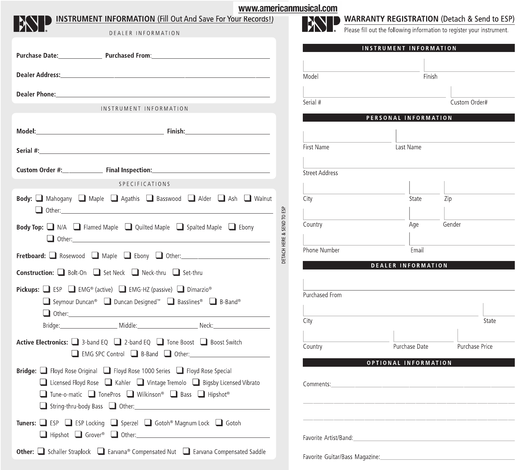| www.americanr                                                                                                                                                                                                                                                                                                        |
|----------------------------------------------------------------------------------------------------------------------------------------------------------------------------------------------------------------------------------------------------------------------------------------------------------------------|
| <b>INSTRUMENT INFORMATION (Fill Out And Save For Your Records!)</b><br>DEALER INFORMATION                                                                                                                                                                                                                            |
|                                                                                                                                                                                                                                                                                                                      |
| Purchase Date: Purchased From: 2008 2010 2020 2020 2021 2022 2021 2022 2021 2022 2022 2022 2022 2022 2022 2022                                                                                                                                                                                                       |
|                                                                                                                                                                                                                                                                                                                      |
| <b>Dealer Phone: Example 2018 19:30 Phone 20:30 Phone 20:30 Phone 20:30 Phone 20:30 Phone 20:30 Phone 20:30 Phone 20:30 Phone 20:30 Phone 20:30 Phone 20:30 Phone 20:30 Phone 20:30 Phone 20:30 Phone 20:30 Phone 20:30 Phone 20</b>                                                                                 |
| INSTRUMENT INFORMATION                                                                                                                                                                                                                                                                                               |
|                                                                                                                                                                                                                                                                                                                      |
|                                                                                                                                                                                                                                                                                                                      |
| Custom Order #: The Trial Inspection: The Trial Institution of the Trial Institution of the Trial Institution of the Trial Institution of the Trial Institution of the Trial Institution of the Trial Institution of the Trial                                                                                       |
| <b>SPECIFICATIONS</b>                                                                                                                                                                                                                                                                                                |
| <b>Body:</b> Nahogany Naple Agathis Basswood Alder Ash Nalnut                                                                                                                                                                                                                                                        |
| DETACH HERE & SEND TO ESP<br><b>Body Top:</b> $\Box$ N/A $\Box$ Flamed Maple $\Box$ Quilted Maple $\Box$ Spalted Maple $\Box$ Ebony                                                                                                                                                                                  |
|                                                                                                                                                                                                                                                                                                                      |
| Construction: □ Bolt-On □ Set Neck □ Neck-thru □ Set-thru                                                                                                                                                                                                                                                            |
| Pickups: <b>□</b> ESP ■ EMG® (active) ■ EMG-HZ (passive) ■ Dimarzio®<br>■ Seymour Duncan® ■ Duncan Designed™ ■ Basslines® ■ B-Band®                                                                                                                                                                                  |
|                                                                                                                                                                                                                                                                                                                      |
| Active Electronics: <b>□</b> 3-band EQ □ 2-band EQ □ Tone Boost □ Boost Switch<br>EMG SPC Control B-Band 1 Other:                                                                                                                                                                                                    |
| <b>Bridge:</b> Floyd Rose Original Floyd Rose 1000 Series Floyd Rose Special<br>$\Box$ Licensed Floyd Rose $\Box$ Kahler $\Box$ Vintage Tremolo $\Box$ Bigsby Licensed Vibrato<br>□ Tune-o-matic □ TonePros □ Wilkinson® □ Bass □ Hipshot®<br>String-thru-body Bass 100 Other: 1999 String-thru-body Bass 100 Other: |
| Tuners: <b>■</b> ESP ■ ESP Locking ■ Sperzel ■ Gotoh® Magnum Lock ■ Gotoh                                                                                                                                                                                                                                            |
| Other: <b>■</b> Schaller Straplock ■ Earvana® Compensated Nut ■ Earvana Compensated Saddle                                                                                                                                                                                                                           |

| musical.com       | <b>WARRANTY R</b><br>Please fill out the fo |
|-------------------|---------------------------------------------|
|                   | <b>INSTRUM</b>                              |
| Model<br>Serial # |                                             |

**REGISTRATION** (Detach & Send to ESP)

following information to register your instrument.

| Model                 | Finish                     |                |
|-----------------------|----------------------------|----------------|
|                       |                            |                |
| Serial #              |                            | Custom Order#  |
|                       | PERSONAL INFORMATION       |                |
|                       |                            |                |
| First Name            | Last Name                  |                |
|                       |                            |                |
| <b>Street Address</b> |                            |                |
| City                  | State                      | Zip            |
|                       |                            |                |
| Country               | Age                        | Gender         |
|                       |                            |                |
| Phone Number          | Email                      |                |
|                       | DEALER INFORMATION         |                |
|                       |                            |                |
| Purchased From        |                            |                |
|                       |                            |                |
| City                  |                            | State          |
|                       |                            |                |
| Country               | Purchase Date              | Purchase Price |
|                       | OPTIONAL INFORMATION       |                |
|                       |                            |                |
|                       |                            |                |
|                       |                            |                |
|                       |                            |                |
|                       | Favorite Artist/Band: 2008 |                |
|                       |                            |                |
|                       |                            |                |